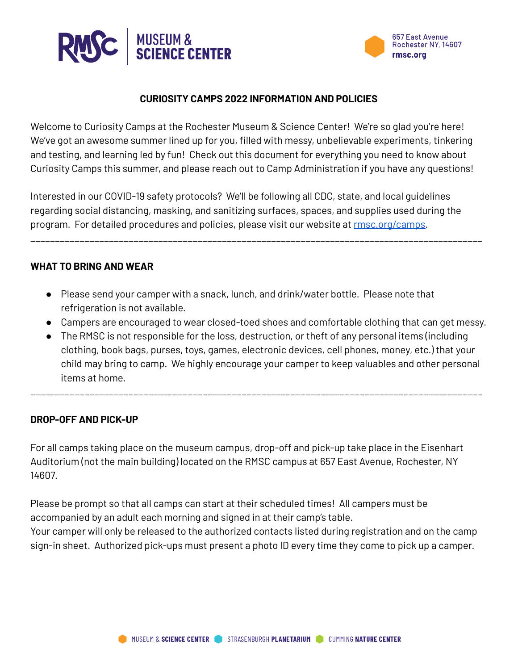



#### **CURIOSITY CAMPS 2022 INFORMATION AND POLICIES**

Welcome to Curiosity Camps at the Rochester Museum & Science Center! We're so glad you're here! We've got an awesome summer lined up for you, filled with messy, unbelievable experiments, tinkering and testing, and learning led by fun! Check out this document for everything you need to know about Curiosity Camps this summer, and please reach out to Camp Administration if you have any questions!

Interested in our COVID-19 safety protocols? We'll be following all CDC, state, and local guidelines regarding social distancing, masking, and sanitizing surfaces, spaces, and supplies used during the program. For detailed procedures and policies, please visit our website at [rmsc.org/camps](https://rmsc.org/science-museum/camps).

\_\_\_\_\_\_\_\_\_\_\_\_\_\_\_\_\_\_\_\_\_\_\_\_\_\_\_\_\_\_\_\_\_\_\_\_\_\_\_\_\_\_\_\_\_\_\_\_\_\_\_\_\_\_\_\_\_\_\_\_\_\_\_\_\_\_\_\_\_\_\_\_\_\_\_\_\_\_\_\_\_\_\_\_\_\_\_\_\_\_\_\_

#### **WHAT TO BRING AND WEAR**

- Please send your camper with a snack, lunch, and drink/water bottle. Please note that refrigeration is not available.
- Campers are encouraged to wear closed-toed shoes and comfortable clothing that can get messy.
- The RMSC is not responsible for the loss, destruction, or theft of any personal items (including clothing, book bags, purses, toys, games, electronic devices, cell phones, money, etc.) that your child may bring to camp. We highly encourage your camper to keep valuables and other personal items at home.

\_\_\_\_\_\_\_\_\_\_\_\_\_\_\_\_\_\_\_\_\_\_\_\_\_\_\_\_\_\_\_\_\_\_\_\_\_\_\_\_\_\_\_\_\_\_\_\_\_\_\_\_\_\_\_\_\_\_\_\_\_\_\_\_\_\_\_\_\_\_\_\_\_\_\_\_\_\_\_\_\_\_\_\_\_\_\_\_\_\_\_\_

#### **DROP-OFF AND PICK-UP**

For all camps taking place on the museum campus, drop-off and pick-up take place in the Eisenhart Auditorium (not the main building) located on the RMSC campus at 657 East Avenue, Rochester, NY 14607.

Please be prompt so that all camps can start at their scheduled times! All campers must be accompanied by an adult each morning and signed in at their camp's table.

Your camper will only be released to the authorized contacts listed during registration and on the camp sign-in sheet. Authorized pick-ups must present a photo ID every time they come to pick up a camper.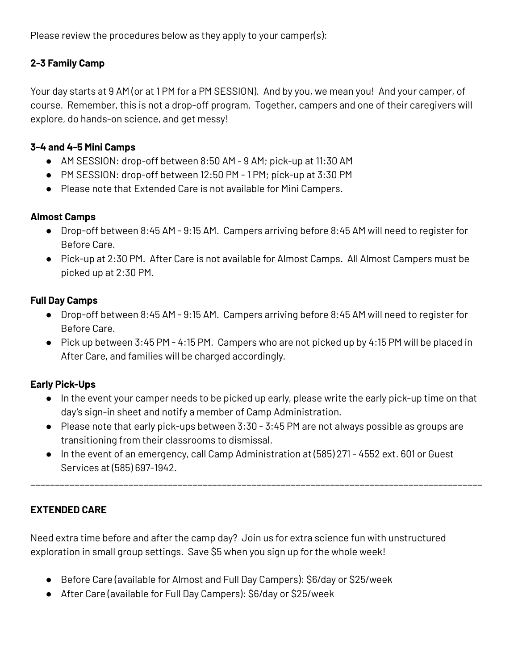Please review the procedures below as they apply to your camper(s):

# **2-3 Family Camp**

Your day starts at 9 AM (or at 1 PM for a PM SESSION). And by you, we mean you! And your camper, of course. Remember, this is not a drop-off program. Together, campers and one of their caregivers will explore, do hands-on science, and get messy!

## **3-4 and 4-5 Mini Camps**

- AM SESSION: drop-off between 8:50 AM 9 AM; pick-up at 11:30 AM
- PM SESSION: drop-off between 12:50 PM 1 PM; pick-up at 3:30 PM
- Please note that Extended Care is not available for Mini Campers.

## **Almost Camps**

- Drop-off between 8:45 AM 9:15 AM. Campers arriving before 8:45 AM will need to register for Before Care.
- Pick-up at 2:30 PM. After Care is not available for Almost Camps. All Almost Campers must be picked up at 2:30 PM.

## **Full Day Camps**

- Drop-off between 8:45 AM 9:15 AM. Campers arriving before 8:45 AM will need to register for Before Care.
- Pick up between 3:45 PM 4:15 PM. Campers who are not picked up by 4:15 PM will be placed in After Care, and families will be charged accordingly.

# **Early Pick-Ups**

- In the event your camper needs to be picked up early, please write the early pick-up time on that day's sign-in sheet and notify a member of Camp Administration.
- Please note that early pick-ups between 3:30 3:45 PM are not always possible as groups are transitioning from their classrooms to dismissal.
- In the event of an emergency, call Camp Administration at (585) 271 4552 ext. 601 or Guest Services at (585) 697-1942.

\_\_\_\_\_\_\_\_\_\_\_\_\_\_\_\_\_\_\_\_\_\_\_\_\_\_\_\_\_\_\_\_\_\_\_\_\_\_\_\_\_\_\_\_\_\_\_\_\_\_\_\_\_\_\_\_\_\_\_\_\_\_\_\_\_\_\_\_\_\_\_\_\_\_\_\_\_\_\_\_\_\_\_\_\_\_\_\_\_\_\_\_

# **EXTENDED CARE**

Need extra time before and after the camp day? Join us for extra science fun with unstructured exploration in small group settings. Save \$5 when you sign up for the whole week!

- Before Care (available for Almost and Full Day Campers): \$6/day or \$25/week
- After Care (available for Full Day Campers): \$6/day or \$25/week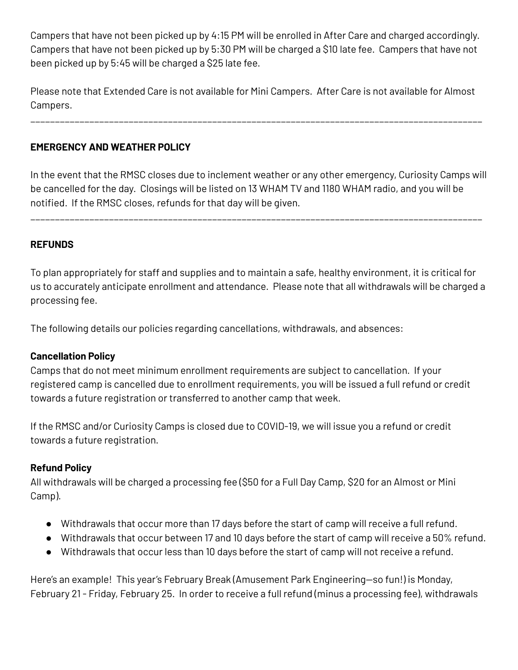Campers that have not been picked up by 4:15 PM will be enrolled in After Care and charged accordingly. Campers that have not been picked up by 5:30 PM will be charged a \$10 late fee. Campers that have not been picked up by 5:45 will be charged a \$25 late fee.

Please note that Extended Care is not available for Mini Campers. After Care is not available for Almost Campers.

\_\_\_\_\_\_\_\_\_\_\_\_\_\_\_\_\_\_\_\_\_\_\_\_\_\_\_\_\_\_\_\_\_\_\_\_\_\_\_\_\_\_\_\_\_\_\_\_\_\_\_\_\_\_\_\_\_\_\_\_\_\_\_\_\_\_\_\_\_\_\_\_\_\_\_\_\_\_\_\_\_\_\_\_\_\_\_\_\_\_\_\_

**EMERGENCY AND WEATHER POLICY**

In the event that the RMSC closes due to inclement weather or any other emergency, Curiosity Camps will be cancelled for the day. Closings will be listed on 13 WHAM TV and 1180 WHAM radio, and you will be notified. If the RMSC closes, refunds for that day will be given.

\_\_\_\_\_\_\_\_\_\_\_\_\_\_\_\_\_\_\_\_\_\_\_\_\_\_\_\_\_\_\_\_\_\_\_\_\_\_\_\_\_\_\_\_\_\_\_\_\_\_\_\_\_\_\_\_\_\_\_\_\_\_\_\_\_\_\_\_\_\_\_\_\_\_\_\_\_\_\_\_\_\_\_\_\_\_\_\_\_\_\_\_

## **REFUNDS**

To plan appropriately for staff and supplies and to maintain a safe, healthy environment, it is critical for us to accurately anticipate enrollment and attendance. Please note that all withdrawals will be charged a processing fee.

The following details our policies regarding cancellations, withdrawals, and absences:

### **Cancellation Policy**

Camps that do not meet minimum enrollment requirements are subject to cancellation. If your registered camp is cancelled due to enrollment requirements, you will be issued a full refund or credit towards a future registration or transferred to another camp that week.

If the RMSC and/or Curiosity Camps is closed due to COVID-19, we will issue you a refund or credit towards a future registration.

### **Refund Policy**

All withdrawals will be charged a processing fee (\$50 for a Full Day Camp, \$20 for an Almost or Mini Camp).

- Withdrawals that occur more than 17 days before the start of camp will receive a full refund.
- Withdrawals that occur between 17 and 10 days before the start of camp will receive a 50% refund.
- Withdrawals that occur less than 10 days before the start of camp will not receive a refund.

Here's an example! This year's February Break (Amusement Park Engineering—so fun!) is Monday, February 21 - Friday, February 25. In order to receive a full refund (minus a processing fee), withdrawals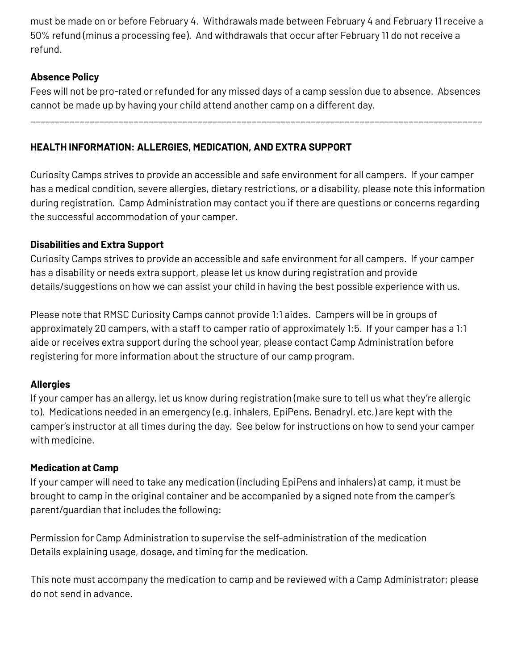must be made on or before February 4. Withdrawals made between February 4 and February 11 receive a 50% refund (minus a processing fee). And withdrawals that occur after February 11 do not receive a refund.

## **Absence Policy**

Fees will not be pro-rated or refunded for any missed days of a camp session due to absence. Absences cannot be made up by having your child attend another camp on a different day.

\_\_\_\_\_\_\_\_\_\_\_\_\_\_\_\_\_\_\_\_\_\_\_\_\_\_\_\_\_\_\_\_\_\_\_\_\_\_\_\_\_\_\_\_\_\_\_\_\_\_\_\_\_\_\_\_\_\_\_\_\_\_\_\_\_\_\_\_\_\_\_\_\_\_\_\_\_\_\_\_\_\_\_\_\_\_\_\_\_\_\_\_

**HEALTH INFORMATION: ALLERGIES, MEDICATION, AND EXTRA SUPPORT**

Curiosity Camps strives to provide an accessible and safe environment for all campers. If your camper has a medical condition, severe allergies, dietary restrictions, or a disability, please note this information during registration. Camp Administration may contact you if there are questions or concerns regarding the successful accommodation of your camper.

## **Disabilities and Extra Support**

Curiosity Camps strives to provide an accessible and safe environment for all campers. If your camper has a disability or needs extra support, please let us know during registration and provide details/suggestions on how we can assist your child in having the best possible experience with us.

Please note that RMSC Curiosity Camps cannot provide 1:1 aides. Campers will be in groups of approximately 20 campers, with a staff to camper ratio of approximately 1:5. If your camper has a 1:1 aide or receives extra support during the school year, please contact Camp Administration before registering for more information about the structure of our camp program.

# **Allergies**

If your camper has an allergy, let us know during registration (make sure to tell us what they're allergic to). Medications needed in an emergency (e.g. inhalers, EpiPens, Benadryl, etc.) are kept with the camper's instructor at all times during the day. See below for instructions on how to send your camper with medicine.

### **Medication at Camp**

If your camper will need to take any medication (including EpiPens and inhalers) at camp, it must be brought to camp in the original container and be accompanied by a signed note from the camper's parent/guardian that includes the following:

Permission for Camp Administration to supervise the self-administration of the medication Details explaining usage, dosage, and timing for the medication.

This note must accompany the medication to camp and be reviewed with a Camp Administrator; please do not send in advance.